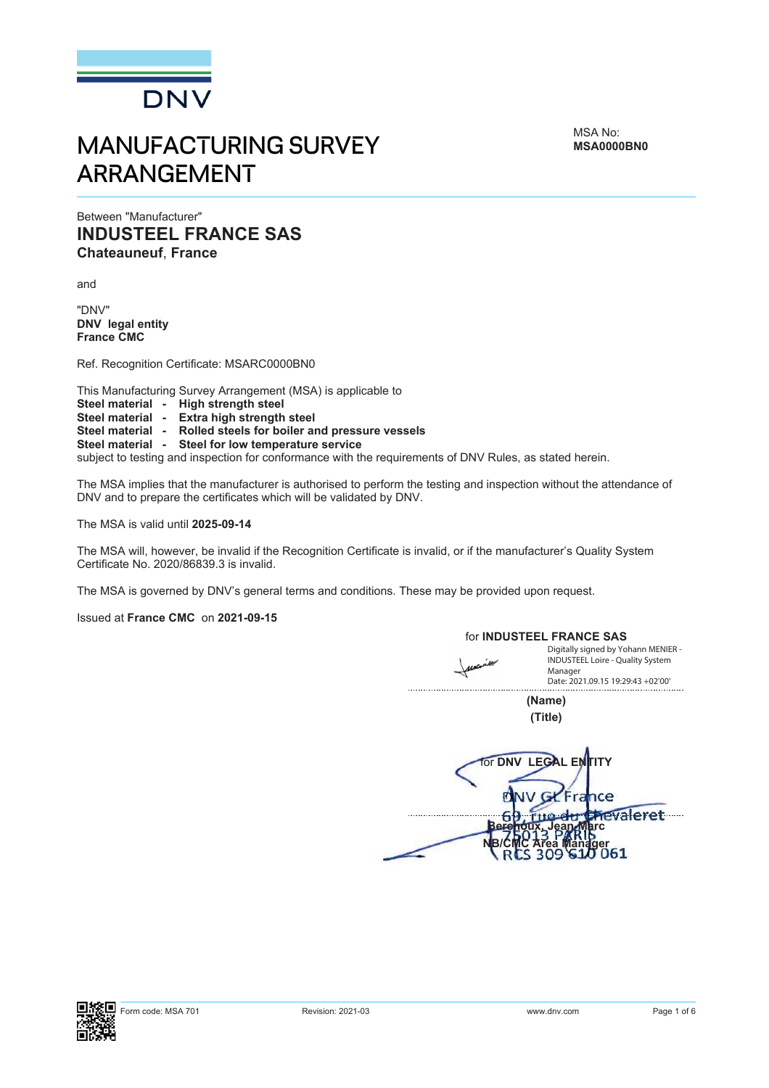

# MANUFACTURING SURVEY ARRANGEMENT

MSA No: **MSA0000BN0**

# Between "Manufacturer" **INDUSTEEL FRANCE SAS Chateauneuf**, **France**

and

"DNV" **DNV legal entity France CMC**

Ref. Recognition Certificate: MSARC0000BN0

This Manufacturing Survey Arrangement (MSA) is applicable to

- **Steel material High strength steel**
- **Steel material Extra high strength steel**
- **Steel material Rolled steels for boiler and pressure vessels**
- **Steel material Steel for low temperature service**

subject to testing and inspection for conformance with the requirements of DNV Rules, as stated herein.

The MSA implies that the manufacturer is authorised to perform the testing and inspection without the attendance of DNV and to prepare the certificates which will be validated by DNV.

The MSA is valid until **2025-09-14**

The MSA will, however, be invalid if the Recognition Certificate is invalid, or if the manufacturer's Quality System Certificate No. 2020/86839.3 is invalid.

The MSA is governed by DNV's general terms and conditions. These may be provided upon request.

Issued at **France CMC** on **2021-09-15** 

for **INDUSTEEL FRANCE SAS** Digitally signed by Yohann MENIER - INDUSTEEL Loire - Quality System Manager Date: 2021.09.15 19:29:43 +02'00'**(Name) (Title) For DNV LEGAL E** nce Į hevaleret **Berchoux, Jean-Marc NB/CMC Area Manager**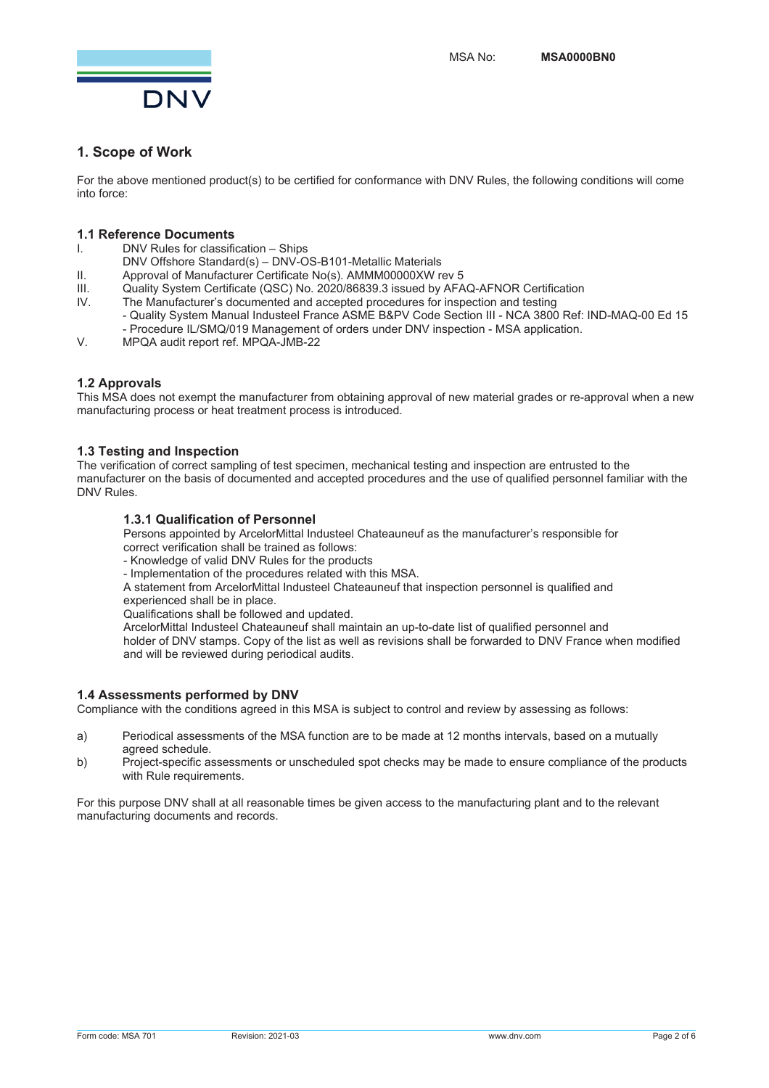

# **1. Scope of Work**

For the above mentioned product(s) to be certified for conformance with DNV Rules, the following conditions will come into force:

## **1.1 Reference Documents**

- I. DNV Rules for classification Ships
- DNV Offshore Standard(s) DNV-OS-B101-Metallic Materials
- II. Approval of Manufacturer Certificate No(s). AMMM00000XW rev 5<br>III. Ouality System Certificate (OSC) No. 2020/86839.3 issued by AEA
- III. Quality System Certificate (QSC) No. 2020/86839.3 issued by AFAQ-AFNOR Certification<br>IV. The Manufacturer's documented and accepted procedures for inspection and testing
- The Manufacturer's documented and accepted procedures for inspection and testing
	- Quality System Manual Industeel France ASME B&PV Code Section III NCA 3800 Ref: IND-MAQ-00 Ed 15
	- Procedure IL/SMQ/019 Management of orders under DNV inspection MSA application.
- V. MPQA audit report ref. MPQA-JMB-22

## **1.2 Approvals**

This MSA does not exempt the manufacturer from obtaining approval of new material grades or re-approval when a new manufacturing process or heat treatment process is introduced.

## **1.3 Testing and Inspection**

The verification of correct sampling of test specimen, mechanical testing and inspection are entrusted to the manufacturer on the basis of documented and accepted procedures and the use of qualified personnel familiar with the DNV Rules.

## **1.3.1 Qualification of Personnel**

Persons appointed by ArcelorMittal Industeel Chateauneuf as the manufacturer's responsible for

- correct verification shall be trained as follows:
- Knowledge of valid DNV Rules for the products
- Implementation of the procedures related with this MSA.

A statement from ArcelorMittal Industeel Chateauneuf that inspection personnel is qualified and experienced shall be in place.

Qualifications shall be followed and updated.

ArcelorMittal Industeel Chateauneuf shall maintain an up-to-date list of qualified personnel and holder of DNV stamps. Copy of the list as well as revisions shall be forwarded to DNV France when modified and will be reviewed during periodical audits.

## **1.4 Assessments performed by DNV**

Compliance with the conditions agreed in this MSA is subject to control and review by assessing as follows:

- a) Periodical assessments of the MSA function are to be made at 12 months intervals, based on a mutually agreed schedule.
- b) Project-specific assessments or unscheduled spot checks may be made to ensure compliance of the products with Rule requirements.

For this purpose DNV shall at all reasonable times be given access to the manufacturing plant and to the relevant manufacturing documents and records.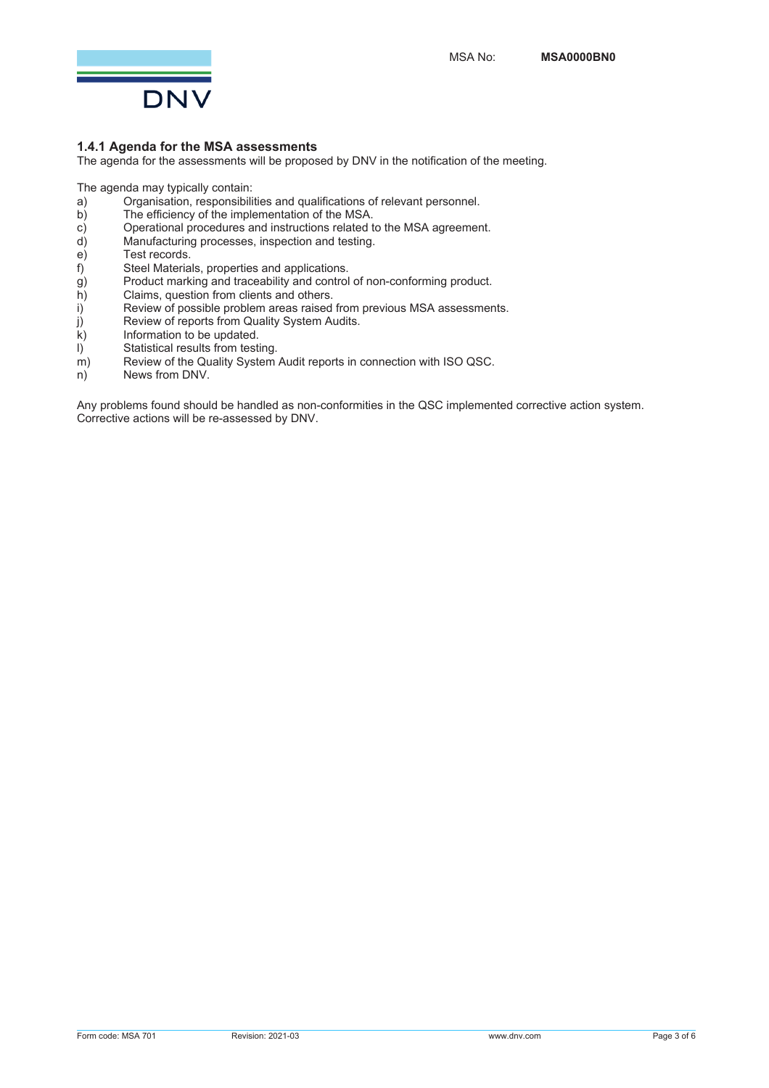

## **1.4.1 Agenda for the MSA assessments**

The agenda for the assessments will be proposed by DNV in the notification of the meeting.

The agenda may typically contain:

- a) Organisation, responsibilities and qualifications of relevant personnel.<br>b) The efficiency of the implementation of the MSA.
- The efficiency of the implementation of the MSA.
- c) Contractional procedures and instructions related to the MSA agreement.<br>
d) Manufacturing processes, inspection and testing.
- d) Manufacturing processes, inspection and testing.
- e) Test records.<br>f) Steel Materia
- 
- f) Steel Materials, properties and applications.<br>
g) Product marking and traceability and control<br>
h) Claims, question from clients and others. Product marking and traceability and control of non-conforming product.
- h) Claims, question from clients and others.<br>i) Review of possible problem areas raised
- i) Review of possible problem areas raised from previous MSA assessments.<br>i) Review of reports from Quality System Audits.
- $j$  Review of reports from Quality System Audits.<br>k) Information to be updated.
- $k$ ) Information to be updated.<br>I) Statistical results from testi
- $I$  Statistical results from testing.<br>
m) Review of the Quality System.
- $\begin{array}{ll}\n m \\
 m\n \end{array}$  Review of the Quality System Audit reports in connection with ISO QSC.<br>  $\begin{array}{ll}\n n \\
 m\n \end{array}$  News from DNV.
- News from DNV.

Any problems found should be handled as non-conformities in the QSC implemented corrective action system. Corrective actions will be re-assessed by DNV.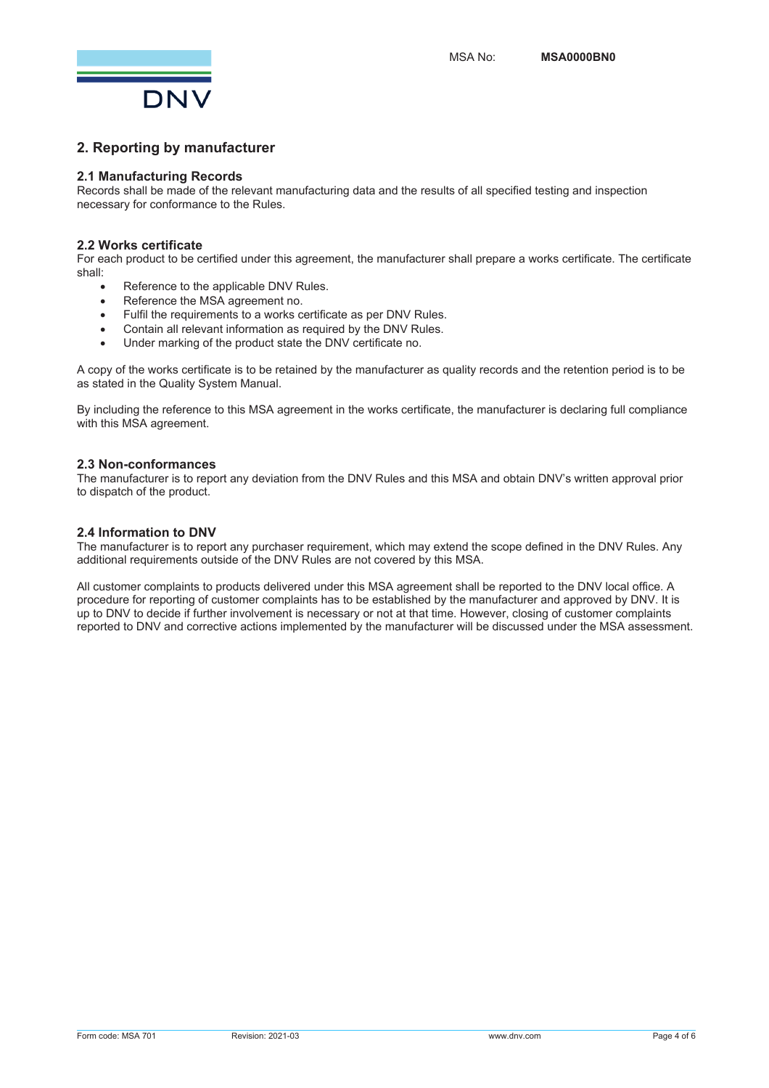

# **2. Reporting by manufacturer**

## **2.1 Manufacturing Records**

Records shall be made of the relevant manufacturing data and the results of all specified testing and inspection necessary for conformance to the Rules.

## **2.2 Works certificate**

For each product to be certified under this agreement, the manufacturer shall prepare a works certificate. The certificate shall:

- Reference to the applicable DNV Rules.
- Reference the MSA agreement no.
- Fulfil the requirements to a works certificate as per DNV Rules.
- Contain all relevant information as required by the DNV Rules.
- Under marking of the product state the DNV certificate no.

A copy of the works certificate is to be retained by the manufacturer as quality records and the retention period is to be as stated in the Quality System Manual.

By including the reference to this MSA agreement in the works certificate, the manufacturer is declaring full compliance with this MSA agreement.

## **2.3 Non-conformances**

The manufacturer is to report any deviation from the DNV Rules and this MSA and obtain DNV's written approval prior to dispatch of the product.

## **2.4 Information to DNV**

The manufacturer is to report any purchaser requirement, which may extend the scope defined in the DNV Rules. Any additional requirements outside of the DNV Rules are not covered by this MSA.

All customer complaints to products delivered under this MSA agreement shall be reported to the DNV local office. A procedure for reporting of customer complaints has to be established by the manufacturer and approved by DNV. It is up to DNV to decide if further involvement is necessary or not at that time. However, closing of customer complaints reported to DNV and corrective actions implemented by the manufacturer will be discussed under the MSA assessment.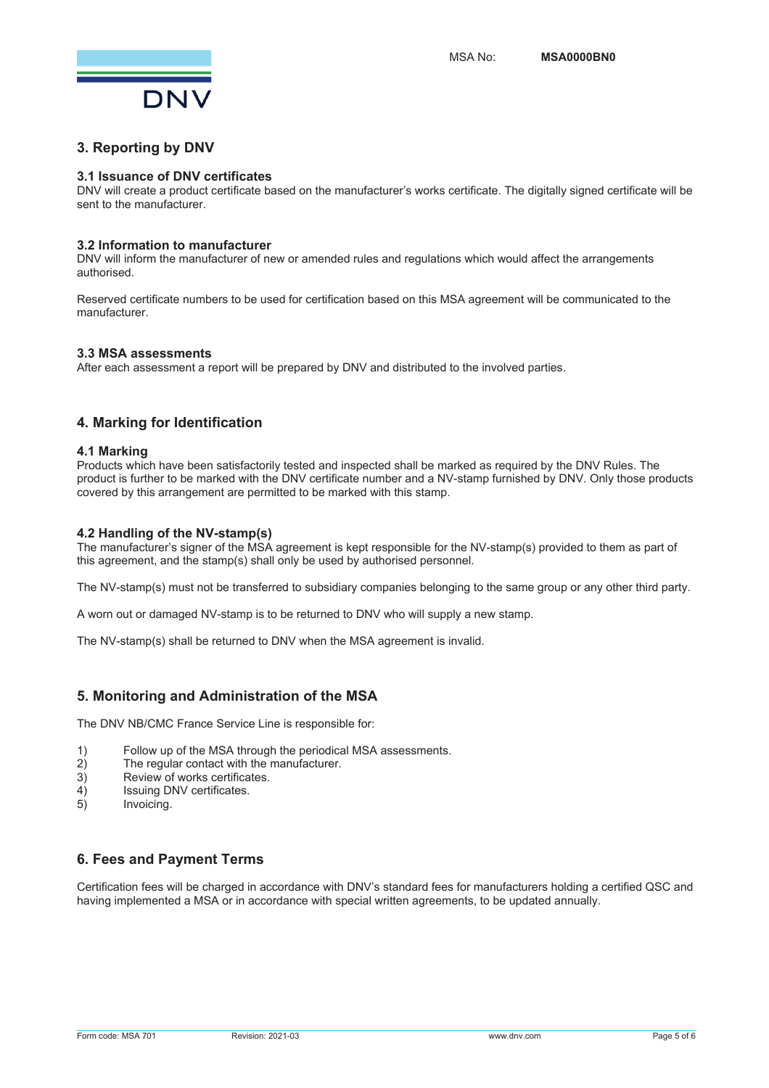

## **3. Reporting by DNV**

#### **3.1 Issuance of DNV certificates**

DNV will create a product certificate based on the manufacturer's works certificate. The digitally signed certificate will be sent to the manufacturer.

#### **3.2 Information to manufacturer**

DNV will inform the manufacturer of new or amended rules and regulations which would affect the arrangements authorised.

Reserved certificate numbers to be used for certification based on this MSA agreement will be communicated to the manufacturer.

#### **3.3 MSA assessments**

After each assessment a report will be prepared by DNV and distributed to the involved parties.

## **4. Marking for Identification**

#### **4.1 Marking**

Products which have been satisfactorily tested and inspected shall be marked as required by the DNV Rules. The product is further to be marked with the DNV certificate number and a NV-stamp furnished by DNV. Only those products covered by this arrangement are permitted to be marked with this stamp.

#### **4.2 Handling of the NV-stamp(s)**

The manufacturer's signer of the MSA agreement is kept responsible for the NV-stamp(s) provided to them as part of this agreement, and the stamp(s) shall only be used by authorised personnel.

The NV-stamp(s) must not be transferred to subsidiary companies belonging to the same group or any other third party.

A worn out or damaged NV-stamp is to be returned to DNV who will supply a new stamp.

The NV-stamp(s) shall be returned to DNV when the MSA agreement is invalid.

## **5. Monitoring and Administration of the MSA**

The DNV NB/CMC France Service Line is responsible for:

- 1) Follow up of the MSA through the periodical MSA assessments.
- 2) The regular contact with the manufacturer.<br>3) Review of works certificates.
- 3) Review of works certificates.<br>4) Issuing DNV certificates.
- 4) Issuing DNV certificates.<br>5) Invoicing
- Invoicing.

## **6. Fees and Payment Terms**

Certification fees will be charged in accordance with DNV's standard fees for manufacturers holding a certified QSC and having implemented a MSA or in accordance with special written agreements, to be updated annually.